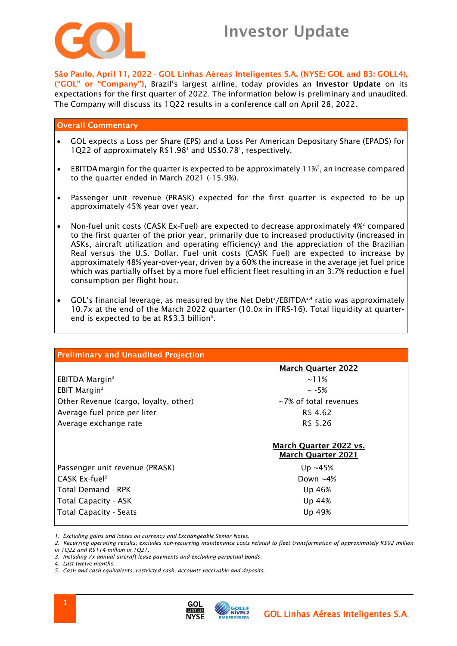

# Investor Update

São Paulo, April 11, 2022 - GOL Linhas Aéreas Inteligentes S.A. (NYSE: GOL and B3: GOLL4), ("GOL" or "Company"), Brazil's largest airline, today provides an Investor Update on its expectations for the first quarter of 2022. The information below is preliminary and unaudited. The Company will discuss its 1Q22 results in a conference call on April 28, 2022.

## Overall Commentary

- GOL expects a Loss per Share (EPS) and a Loss Per American Depositary Share (EPADS) for 1Q22 of approximately R\$1.98<sup>1</sup> and US\$0.78<sup>1</sup>, respectively.
- EBITDA margin for the quarter is expected to be approximately  $11\%^2$ , an increase compared to the quarter ended in March 2021 (-15.9%).
- Passenger unit revenue (PRASK) expected for the first quarter is expected to be up approximately 45% year over year.
- Non-fuel unit costs (CASK Ex-Fuel) are expected to decrease approximately 4%<sup>2</sup> compared to the first quarter of the prior year, primarily due to increased productivity (increased in ASKs, aircraft utilization and operating efficiency) and the appreciation of the Brazilian Real versus the U.S. Dollar. Fuel unit costs (CASK Fuel) are expected to increase by approximately 48% year-over-year, driven by a 60% the increase in the average jet fuel price which was partially offset by a more fuel efficient fleet resulting in an 3.7% reduction e fuel consumption per flight hour.
- GOL's financial leverage, as measured by the Net Debt<sup>3</sup>/EBITDA<sup>2,4</sup> ratio was approximately 10.7x at the end of the March 2022 quarter (10.0x in IFRS-16). Total liquidity at quarterend is expected to be at  $R$3.3 billion<sup>5</sup>$ .

| <b>Preliminary and Unaudited Projection</b> |                                                     |
|---------------------------------------------|-----------------------------------------------------|
|                                             | <b>March Quarter 2022</b>                           |
| EBITDA Margin <sup>2</sup>                  | $\sim$ 11%                                          |
| EBIT Margin <sup>2</sup>                    | $\sim$ -5%                                          |
| Other Revenue (cargo, loyalty, other)       | $\sim$ 7% of total revenues                         |
| Average fuel price per liter                | R\$ 4.62                                            |
| Average exchange rate                       | R\$ 5.26                                            |
|                                             | March Quarter 2022 vs.<br><b>March Quarter 2021</b> |
| Passenger unit revenue (PRASK)              | Up $~15\%$                                          |
| CASK Ex-fuel <sup>2</sup>                   | Down $~14\%$                                        |
| <b>Total Demand - RPK</b>                   | Up 46%                                              |
| <b>Total Capacity - ASK</b>                 | Up 44%                                              |
| <b>Total Capacity - Seats</b>               | Up 49%                                              |

*1. Excluding gains and losses on currency and Exchangeable Senior Notes.*

*2. Recurring operating results; excludes non-recurring maintenance costs related to fleet transformation of approximately R\$92 million* 

*in 1Q22 and R\$114 million in 1Q21.*

*3. Including 7x annual aircraft lease payments and excluding perpetual bonds.*

*4. Last twelve months.*

*5. Cash and cash equivalents, restricted cash, accounts receivable and deposits.*